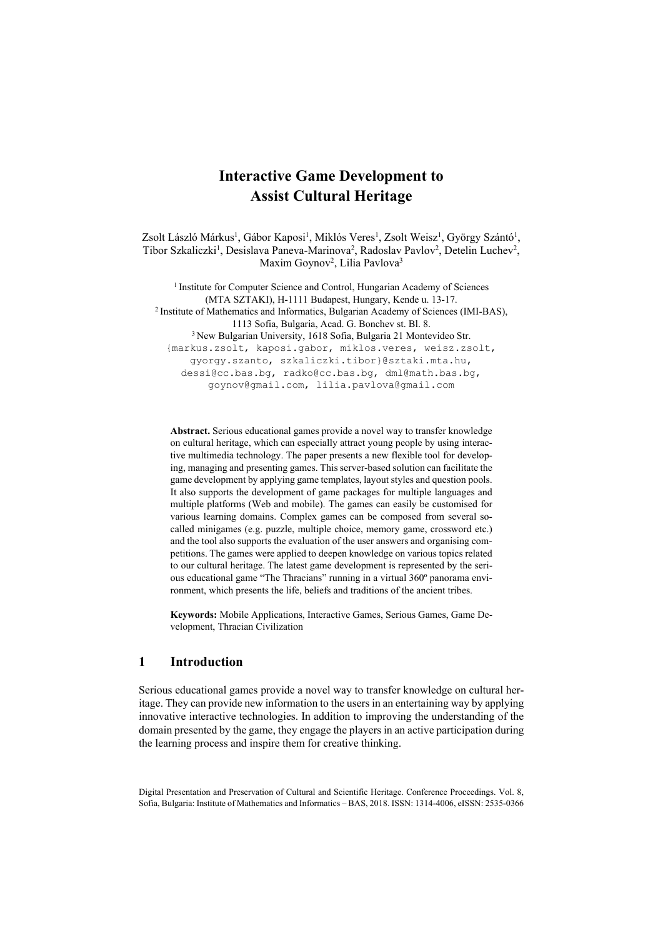# **Interactive Game Development to Assist Cultural Heritage**

Zsolt László Márkus<sup>1</sup>, Gábor Kaposi<sup>1</sup>, Miklós Veres<sup>1</sup>, Zsolt Weisz<sup>1</sup>, György Szántó<sup>1</sup>, Tibor Szkaliczki<sup>1</sup>, Desislava Paneva-Marinova<sup>2</sup>, Radoslav Pavlov<sup>2</sup>, Detelin Luchev<sup>2</sup>, Maxim Goynov<sup>2</sup>, Lilia Pavlova<sup>3</sup>

<sup>1</sup> Institute for Computer Science and Control, Hungarian Academy of Sciences (MTA SZTAKI), H-1111 Budapest, Hungary, Kende u. 13-17. 2 Institute of Mathematics and Informatics, Bulgarian Academy of Sciences (IMI-BAS), 1113 Sofia, Bulgaria, Acad. G. Bonchev st. Bl. 8. 3 New Bulgarian University, 1618 Sofia, Bulgaria 21 Montevideo Str. {markus.zsolt, kaposi.gabor, miklos.veres, weisz.zsolt, gyorgy.szanto, szkaliczki.tibor}@sztaki.mta.hu, dessi@cc.bas.bg, radko@cc.bas.bg, dml@math.bas.bg, goynov@gmail.com, lilia.pavlova@gmail.com

**Abstract.** Serious educational games provide a novel way to transfer knowledge on cultural heritage, which can especially attract young people by using interactive multimedia technology. The paper presents a new flexible tool for developing, managing and presenting games. This server-based solution can facilitate the game development by applying game templates, layout styles and question pools. It also supports the development of game packages for multiple languages and multiple platforms (Web and mobile). The games can easily be customised for various learning domains. Complex games can be composed from several socalled minigames (e.g. puzzle, multiple choice, memory game, crossword etc.) and the tool also supports the evaluation of the user answers and organising competitions. The games were applied to deepen knowledge on various topics related to our cultural heritage. The latest game development is represented by the serious educational game "The Thracians" running in a virtual 360º panorama environment, which presents the life, beliefs and traditions of the ancient tribes.

**Keywords:** Mobile Applications, Interactive Games, Serious Games, Game Development, Thracian Civilization

#### **1 Introduction**

Serious educational games provide a novel way to transfer knowledge on cultural heritage. They can provide new information to the users in an entertaining way by applying innovative interactive technologies. In addition to improving the understanding of the domain presented by the game, they engage the players in an active participation during the learning process and inspire them for creative thinking.

Digital Presentation and Preservation of Cultural and Scientific Heritage. Conference Proceedings. Vol. 8, Sofia, Bulgaria: Institute of Mathematics and Informatics – BAS, 2018. ISSN: 1314-4006, eISSN: 2535-0366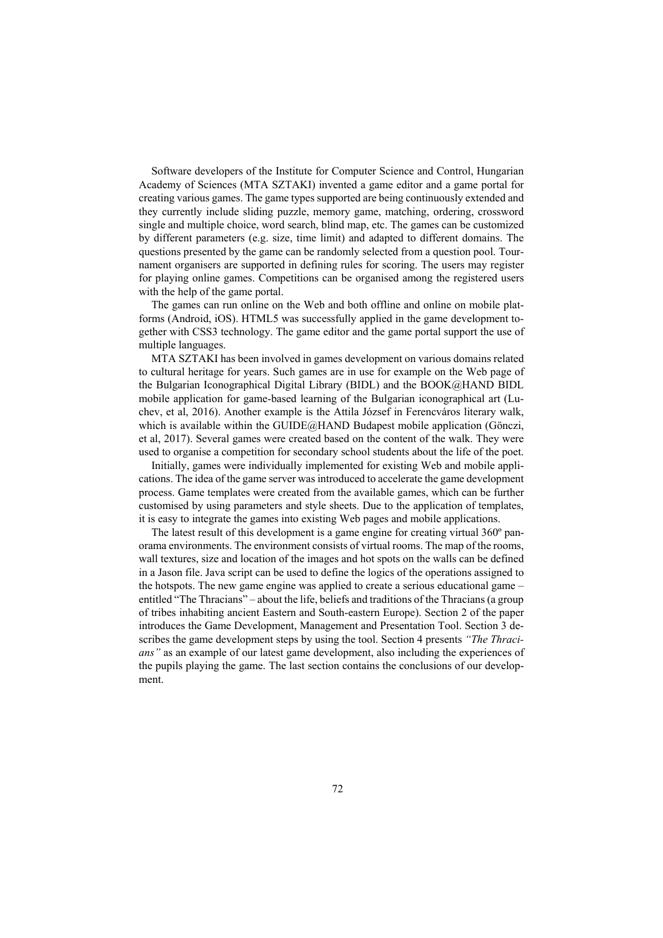Software developers of the Institute for Computer Science and Control, Hungarian Academy of Sciences (MTA SZTAKI) invented a game editor and a game portal for creating various games. The game types supported are being continuously extended and they currently include sliding puzzle, memory game, matching, ordering, crossword single and multiple choice, word search, blind map, etc. The games can be customized by different parameters (e.g. size, time limit) and adapted to different domains. The questions presented by the game can be randomly selected from a question pool. Tournament organisers are supported in defining rules for scoring. The users may register for playing online games. Competitions can be organised among the registered users with the help of the game portal.

The games can run online on the Web and both offline and online on mobile platforms (Android, iOS). HTML5 was successfully applied in the game development together with CSS3 technology. The game editor and the game portal support the use of multiple languages.

MTA SZTAKI has been involved in games development on various domains related to cultural heritage for years. Such games are in use for example on the Web page of the Bulgarian Iconographical Digital Library (BIDL) and the BOOK@HAND BIDL mobile application for game-based learning of the Bulgarian iconographical art (Luchev, et al, 2016). Another example is the Attila József in Ferencváros literary walk, which is available within the GUIDE@HAND Budapest mobile application (Gönczi, et al, 2017). Several games were created based on the content of the walk. They were used to organise a competition for secondary school students about the life of the poet.

Initially, games were individually implemented for existing Web and mobile applications. The idea of the game server was introduced to accelerate the game development process. Game templates were created from the available games, which can be further customised by using parameters and style sheets. Due to the application of templates, it is easy to integrate the games into existing Web pages and mobile applications.

The latest result of this development is a game engine for creating virtual 360º panorama environments. The environment consists of virtual rooms. The map of the rooms, wall textures, size and location of the images and hot spots on the walls can be defined in a Jason file. Java script can be used to define the logics of the operations assigned to the hotspots. The new game engine was applied to create a serious educational game – entitled "The Thracians" – about the life, beliefs and traditions of the Thracians (a group of tribes inhabiting ancient Eastern and South-eastern Europe). Section 2 of the paper introduces the Game Development, Management and Presentation Tool. Section 3 describes the game development steps by using the tool. Section 4 presents *"The Thracians"* as an example of our latest game development, also including the experiences of the pupils playing the game. The last section contains the conclusions of our development.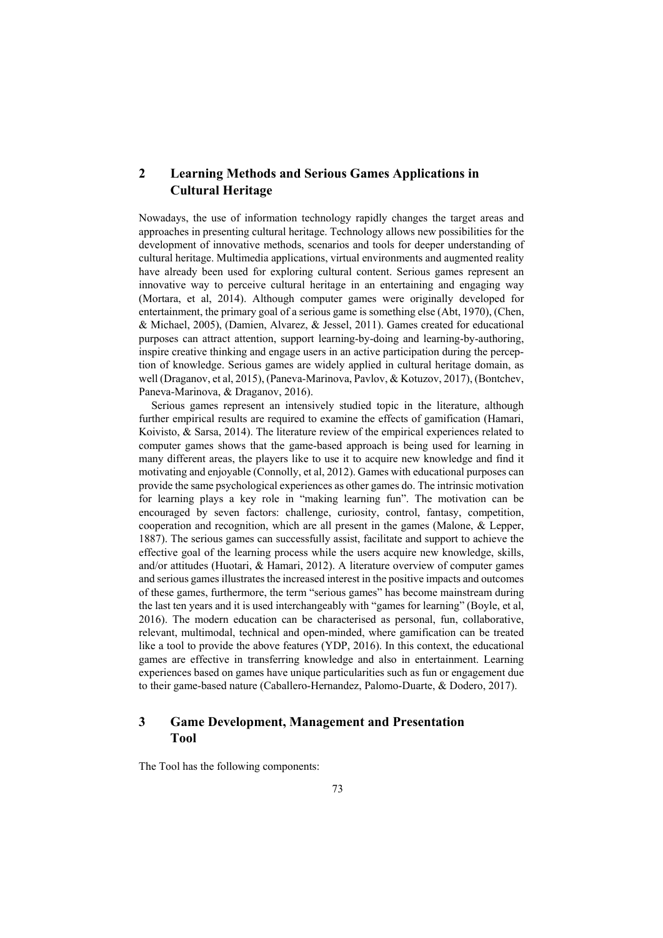# **2 Learning Methods and Serious Games Applications in Cultural Heritage**

Nowadays, the use of information technology rapidly changes the target areas and approaches in presenting cultural heritage. Technology allows new possibilities for the development of innovative methods, scenarios and tools for deeper understanding of cultural heritage. Multimedia applications, virtual environments and augmented reality have already been used for exploring cultural content. Serious games represent an innovative way to perceive cultural heritage in an entertaining and engaging way (Mortara, et al, 2014). Although computer games were originally developed for entertainment, the primary goal of a serious game is something else (Abt, 1970), (Chen, & Michael, 2005), (Damien, Alvarez, & Jessel, 2011). Games created for educational purposes can attract attention, support learning-by-doing and learning-by-authoring, inspire creative thinking and engage users in an active participation during the perception of knowledge. Serious games are widely applied in cultural heritage domain, as well (Draganov, et al, 2015), (Paneva-Marinova, Pavlov, & Kotuzov, 2017), (Bontchev, Paneva-Marinova, & Draganov, 2016).

Serious games represent an intensively studied topic in the literature, although further empirical results are required to examine the effects of gamification (Hamari, Koivisto, & Sarsa, 2014). The literature review of the empirical experiences related to computer games shows that the game-based approach is being used for learning in many different areas, the players like to use it to acquire new knowledge and find it motivating and enjoyable (Connolly, et al, 2012). Games with educational purposes can provide the same psychological experiences as other games do. The intrinsic motivation for learning plays a key role in "making learning fun". The motivation can be encouraged by seven factors: challenge, curiosity, control, fantasy, competition, cooperation and recognition, which are all present in the games (Malone, & Lepper, 1887). The serious games can successfully assist, facilitate and support to achieve the effective goal of the learning process while the users acquire new knowledge, skills, and/or attitudes (Huotari, & Hamari, 2012). A literature overview of computer games and serious games illustrates the increased interest in the positive impacts and outcomes of these games, furthermore, the term "serious games" has become mainstream during the last ten years and it is used interchangeably with "games for learning" (Boyle, et al, 2016). The modern education can be characterised as personal, fun, collaborative, relevant, multimodal, technical and open-minded, where gamification can be treated like a tool to provide the above features (YDP, 2016). In this context, the educational games are effective in transferring knowledge and also in entertainment. Learning experiences based on games have unique particularities such as fun or engagement due to their game-based nature (Caballero-Hernandez, Palomo-Duarte, & Dodero, 2017).

## **3 Game Development, Management and Presentation Tool**

The Tool has the following components: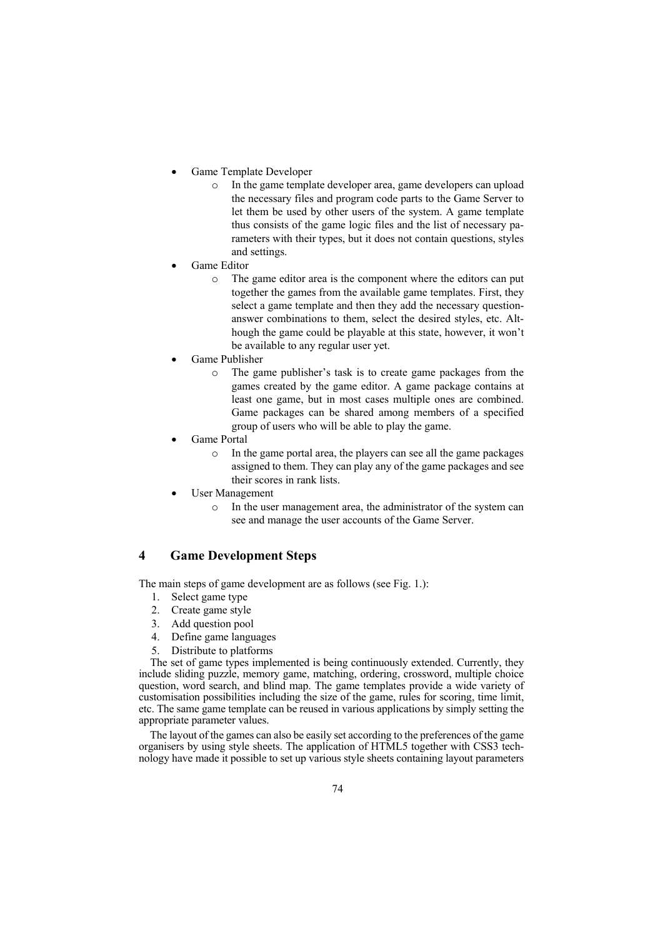- Game Template Developer
	- o In the game template developer area, game developers can upload the necessary files and program code parts to the Game Server to let them be used by other users of the system. A game template thus consists of the game logic files and the list of necessary parameters with their types, but it does not contain questions, styles and settings.
- Game Editor
	- o The game editor area is the component where the editors can put together the games from the available game templates. First, they select a game template and then they add the necessary questionanswer combinations to them, select the desired styles, etc. Although the game could be playable at this state, however, it won't be available to any regular user yet.
- Game Publisher
	- o The game publisher's task is to create game packages from the games created by the game editor. A game package contains at least one game, but in most cases multiple ones are combined. Game packages can be shared among members of a specified group of users who will be able to play the game.
- Game Portal
	- o In the game portal area, the players can see all the game packages assigned to them. They can play any of the game packages and see their scores in rank lists.
- User Management
	- o In the user management area, the administrator of the system can see and manage the user accounts of the Game Server.

# **4 Game Development Steps**

The main steps of game development are as follows (see Fig. 1.):

- 1. Select game type
- 2. Create game style
- 3. Add question pool
- 4. Define game languages
- 5. Distribute to platforms

The set of game types implemented is being continuously extended. Currently, they include sliding puzzle, memory game, matching, ordering, crossword, multiple choice question, word search, and blind map. The game templates provide a wide variety of customisation possibilities including the size of the game, rules for scoring, time limit, etc. The same game template can be reused in various applications by simply setting the appropriate parameter values.

The layout of the games can also be easily set according to the preferences of the game organisers by using style sheets. The application of HTML5 together with CSS3 technology have made it possible to set up various style sheets containing layout parameters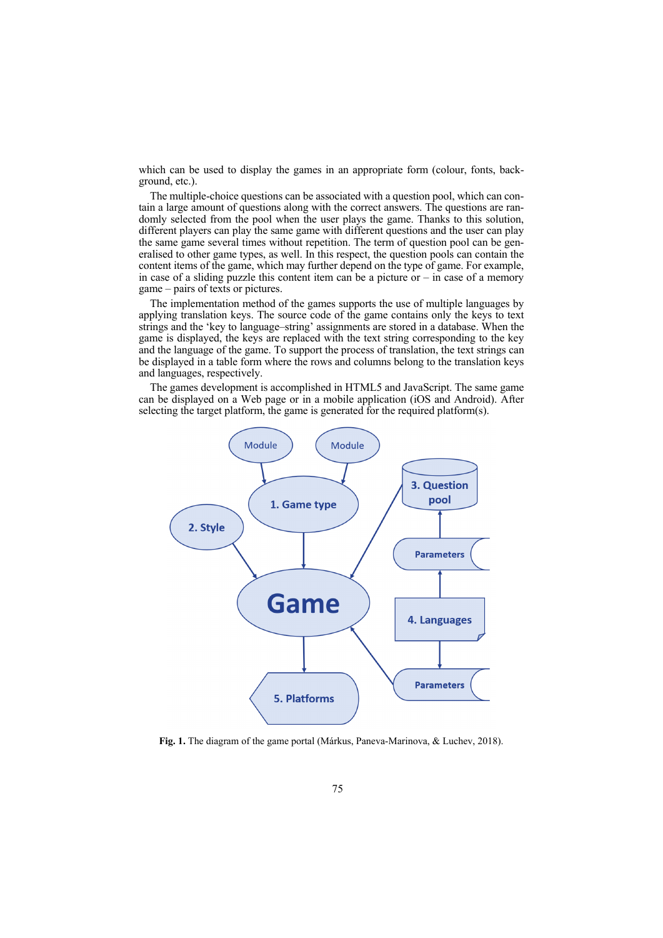which can be used to display the games in an appropriate form (colour, fonts, background, etc.).

The multiple-choice questions can be associated with a question pool, which can contain a large amount of questions along with the correct answers. The questions are randomly selected from the pool when the user plays the game. Thanks to this solution, different players can play the same game with different questions and the user can play the same game several times without repetition. The term of question pool can be generalised to other game types, as well. In this respect, the question pools can contain the content items of the game, which may further depend on the type of game. For example, in case of a sliding puzzle this content item can be a picture or  $-$  in case of a memory game – pairs of texts or pictures.

The implementation method of the games supports the use of multiple languages by applying translation keys. The source code of the game contains only the keys to text strings and the 'key to language–string' assignments are stored in a database. When the game is displayed, the keys are replaced with the text string corresponding to the key and the language of the game. To support the process of translation, the text strings can be displayed in a table form where the rows and columns belong to the translation keys and languages, respectively.

The games development is accomplished in HTML5 and JavaScript. The same game can be displayed on a Web page or in a mobile application (iOS and Android). After selecting the target platform, the game is generated for the required platform(s).



**Fig. 1.** The diagram of the game portal (Márkus, Paneva-Marinova, & Luchev, 2018).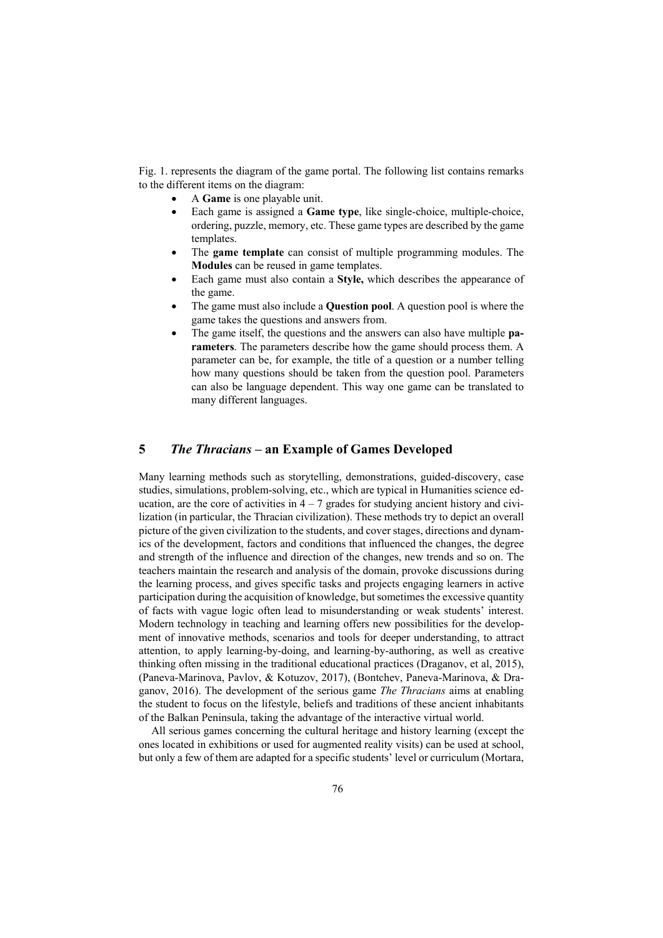Fig. 1. represents the diagram of the game portal. The following list contains remarks to the different items on the diagram:

- A **Game** is one playable unit.
- Each game is assigned a **Game type**, like single-choice, multiple-choice, ordering, puzzle, memory, etc. These game types are described by the game templates.
- The **game template** can consist of multiple programming modules. The **Modules** can be reused in game templates.
- Each game must also contain a **Style,** which describes the appearance of the game.
- The game must also include a **Question pool**. A question pool is where the game takes the questions and answers from.
- The game itself, the questions and the answers can also have multiple **parameters**. The parameters describe how the game should process them. A parameter can be, for example, the title of a question or a number telling how many questions should be taken from the question pool. Parameters can also be language dependent. This way one game can be translated to many different languages.

### **5** *The Thracians* **– an Example of Games Developed**

Many learning methods such as storytelling, demonstrations, guided-discovery, case studies, simulations, problem-solving, etc., which are typical in Humanities science education, are the core of activities in  $4 - 7$  grades for studying ancient history and civilization (in particular, the Thracian civilization). These methods try to depict an overall picture of the given civilization to the students, and cover stages, directions and dynamics of the development, factors and conditions that influenced the changes, the degree and strength of the influence and direction of the changes, new trends and so on. The teachers maintain the research and analysis of the domain, provoke discussions during the learning process, and gives specific tasks and projects engaging learners in active participation during the acquisition of knowledge, but sometimes the excessive quantity of facts with vague logic often lead to misunderstanding or weak students' interest. Modern technology in teaching and learning offers new possibilities for the development of innovative methods, scenarios and tools for deeper understanding, to attract attention, to apply learning-by-doing, and learning-by-authoring, as well as creative thinking often missing in the traditional educational practices (Draganov, et al, 2015), (Paneva-Marinova, Pavlov, & Kotuzov, 2017), (Bontchev, Paneva-Marinova, & Draganov, 2016). The development of the serious game *The Thracians* aims at enabling the student to focus on the lifestyle, beliefs and traditions of these ancient inhabitants of the Balkan Peninsula, taking the advantage of the interactive virtual world.

All serious games concerning the cultural heritage and history learning (except the ones located in exhibitions or used for augmented reality visits) can be used at school, but only a few of them are adapted for a specific students' level or curriculum (Mortara,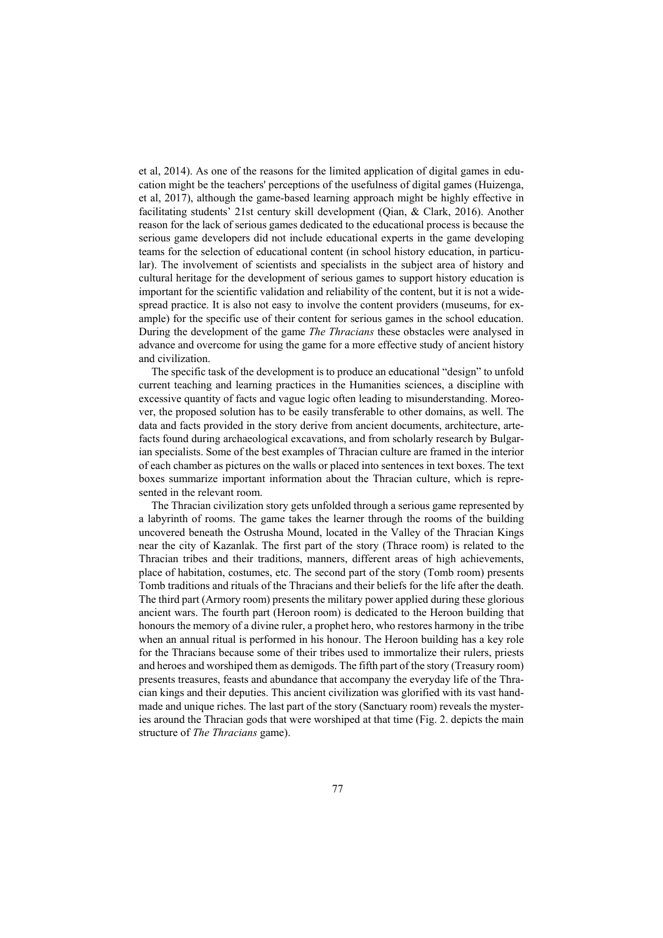et al, 2014). As one of the reasons for the limited application of digital games in education might be the teachers' perceptions of the usefulness of digital games (Huizenga, et al, 2017), although the game-based learning approach might be highly effective in facilitating students' 21st century skill development (Qian, & Clark, 2016). Another reason for the lack of serious games dedicated to the educational process is because the serious game developers did not include educational experts in the game developing teams for the selection of educational content (in school history education, in particular). The involvement of scientists and specialists in the subject area of history and cultural heritage for the development of serious games to support history education is important for the scientific validation and reliability of the content, but it is not a widespread practice. It is also not easy to involve the content providers (museums, for example) for the specific use of their content for serious games in the school education. During the development of the game *The Thracians* these obstacles were analysed in advance and overcome for using the game for a more effective study of ancient history and civilization.

The specific task of the development is to produce an educational "design" to unfold current teaching and learning practices in the Humanities sciences, a discipline with excessive quantity of facts and vague logic often leading to misunderstanding. Moreover, the proposed solution has to be easily transferable to other domains, as well. The data and facts provided in the story derive from ancient documents, architecture, artefacts found during archaeological excavations, and from scholarly research by Bulgarian specialists. Some of the best examples of Thracian culture are framed in the interior of each chamber as pictures on the walls or placed into sentences in text boxes. The text boxes summarize important information about the Thracian culture, which is represented in the relevant room.

The Thracian civilization story gets unfolded through a serious game represented by a labyrinth of rooms. The game takes the learner through the rooms of the building uncovered beneath the Ostrusha Mound, located in the Valley of the Thracian Kings near the city of Kazanlak. The first part of the story (Thrace room) is related to the Thracian tribes and their traditions, manners, different areas of high achievements, place of habitation, costumes, etc. The second part of the story (Tomb room) presents Tomb traditions and rituals of the Thracians and their beliefs for the life after the death. The third part (Armory room) presents the military power applied during these glorious ancient wars. The fourth part (Heroon room) is dedicated to the Heroon building that honours the memory of a divine ruler, a prophet hero, who restores harmony in the tribe when an annual ritual is performed in his honour. The Heroon building has a key role for the Thracians because some of their tribes used to immortalize their rulers, priests and heroes and worshiped them as demigods. The fifth part of the story (Treasury room) presents treasures, feasts and abundance that accompany the everyday life of the Thracian kings and their deputies. This ancient civilization was glorified with its vast handmade and unique riches. The last part of the story (Sanctuary room) reveals the mysteries around the Thracian gods that were worshiped at that time (Fig. 2. depicts the main structure of *The Thracians* game).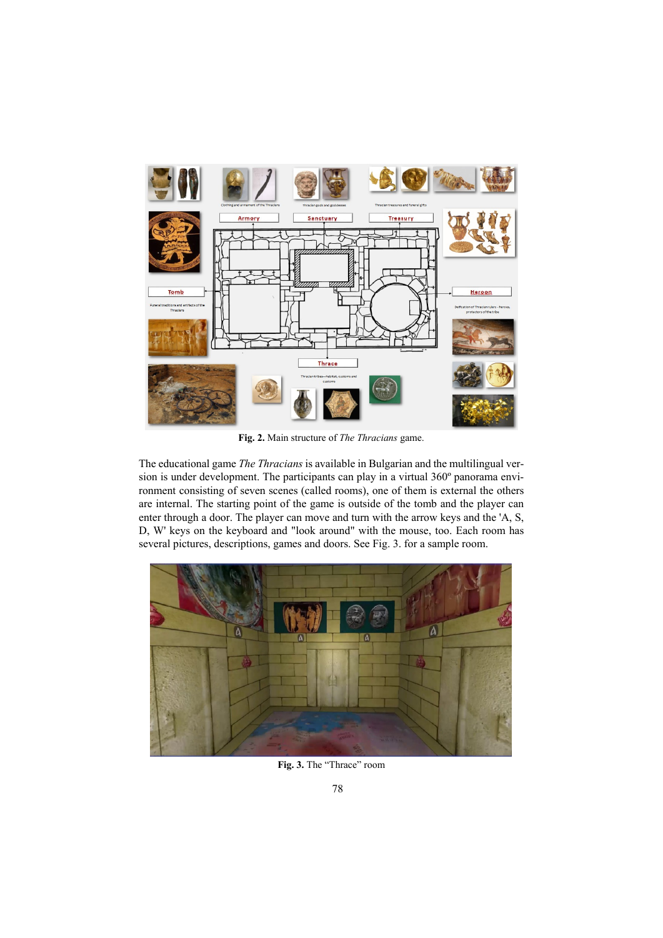

**Fig. 2.** Main structure of *The Thracians* game.

The educational game *The Thracians* is available in Bulgarian and the multilingual version is under development. The participants can play in a virtual 360º panorama environment consisting of seven scenes (called rooms), one of them is external the others are internal. The starting point of the game is outside of the tomb and the player can enter through a door. The player can move and turn with the arrow keys and the 'A, S, D, W' keys on the keyboard and "look around" with the mouse, too. Each room has several pictures, descriptions, games and doors. See Fig. 3. for a sample room.



**Fig. 3.** The "Thrace" room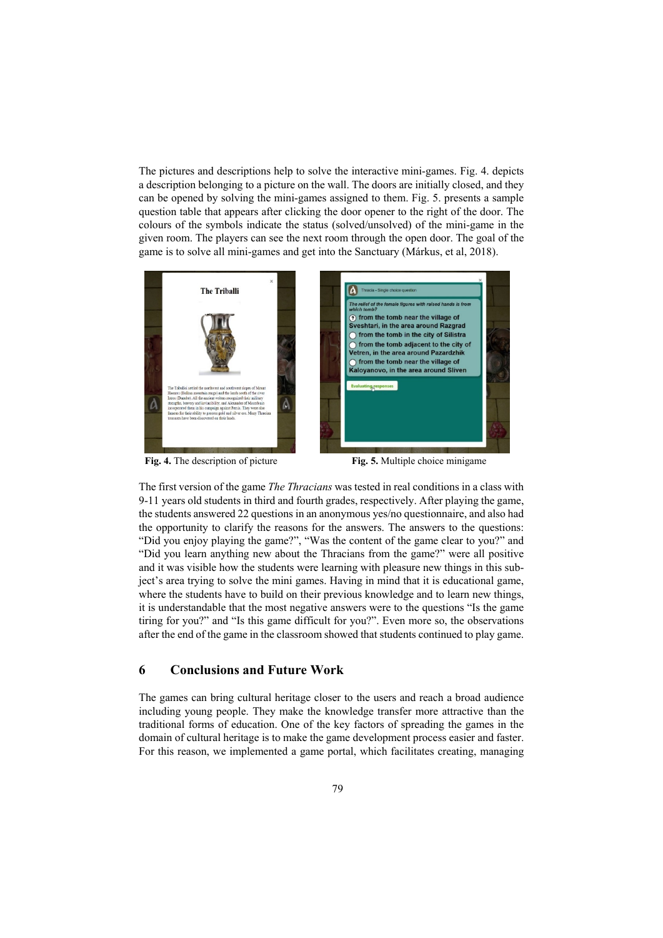The pictures and descriptions help to solve the interactive mini-games. Fig. 4. depicts a description belonging to a picture on the wall. The doors are initially closed, and they can be opened by solving the mini-games assigned to them. Fig. 5. presents a sample question table that appears after clicking the door opener to the right of the door. The colours of the symbols indicate the status (solved/unsolved) of the mini-game in the given room. The players can see the next room through the open door. The goal of the game is to solve all mini-games and get into the Sanctuary (Márkus, et al, 2018).



**Fig. 4.** The description of picture **Fig. 5.** Multiple choice minigame

The first version of the game *The Thracians* was tested in real conditions in a class with 9-11 years old students in third and fourth grades, respectively. After playing the game, the students answered 22 questions in an anonymous yes/no questionnaire, and also had the opportunity to clarify the reasons for the answers. The answers to the questions: "Did you enjoy playing the game?", "Was the content of the game clear to you?" and "Did you learn anything new about the Thracians from the game?" were all positive and it was visible how the students were learning with pleasure new things in this subject's area trying to solve the mini games. Having in mind that it is educational game, where the students have to build on their previous knowledge and to learn new things, it is understandable that the most negative answers were to the questions "Is the game tiring for you?" and "Is this game difficult for you?". Even more so, the observations after the end of the game in the classroom showed that students continued to play game.

#### **6 Conclusions and Future Work**

The games can bring cultural heritage closer to the users and reach a broad audience including young people. They make the knowledge transfer more attractive than the traditional forms of education. One of the key factors of spreading the games in the domain of cultural heritage is to make the game development process easier and faster. For this reason, we implemented a game portal, which facilitates creating, managing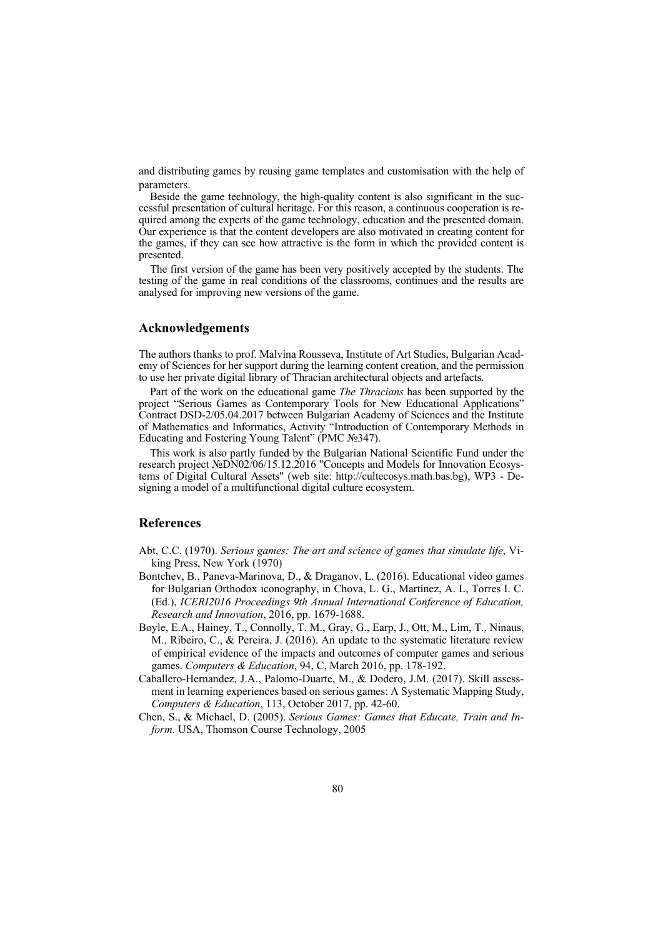and distributing games by reusing game templates and customisation with the help of parameters.

Beside the game technology, the high-quality content is also significant in the successful presentation of cultural heritage. For this reason, a continuous cooperation is required among the experts of the game technology, education and the presented domain. Our experience is that the content developers are also motivated in creating content for the games, if they can see how attractive is the form in which the provided content is presented.

The first version of the game has been very positively accepted by the students. The testing of the game in real conditions of the classrooms, continues and the results are analysed for improving new versions of the game.

#### **Acknowledgements**

The authors thanks to prof. Malvina Rousseva, Institute of Art Studies, Bulgarian Academy of Sciences for her support during the learning content creation, and the permission to use her private digital library of Thracian architectural objects and artefacts.

Part of the work on the educational game *The Thracians* has been supported by the project "Serious Games as Contemporary Tools for New Educational Applications" Contract DSD-2/05.04.2017 between Bulgarian Academy of Sciences and the Institute of Mathematics and Informatics, Activity "Introduction of Contemporary Methods in Educating and Fostering Young Talent" (PMC №347).

This work is also partly funded by the Bulgarian National Scientific Fund under the research project №DN02/06/15.12.2016 "Concepts and Models for Innovation Ecosystems of Digital Cultural Assets" (web site: http://cultecosys.math.bas.bg), WP3 - Designing a model of a multifunctional digital culture ecosystem.

#### **References**

- Abt, C.C. (1970). *Serious games: The art and science of games that simulate life*, Viking Press, New York (1970)
- Bontchev, B., Paneva-Marinova, D., & Draganov, L. (2016). Educational video games for Bulgarian Orthodox iconography, in Chova, L. G., Martínez, A. L, Torres I. C. (Ed.), *ICERI2016 Proceedings 9th Annual International Conference of Education, Research and Innovation*, 2016, pp. 1679-1688.
- Boyle, E.A., Hainey, T., Connolly, T. M., Gray, G., Earp, J., Ott, M., Lim, T., Ninaus, M., Ribeiro, C., & Pereira, J. (2016). An update to the systematic literature review of empirical evidence of the impacts and outcomes of computer games and serious games. *Computers & Education*, 94, C, March 2016, pp. 178-192.
- Caballero-Hernandez, J.A., Palomo-Duarte, M., & Dodero, J.M. (2017). Skill assessment in learning experiences based on serious games: A Systematic Mapping Study, *Computers & Education*, 113, October 2017, pp. 42-60.
- Chen, S., & Michael, D. (2005). *Serious Games: Games that Educate, Train and Inform.* USA, Thomson Course Technology, 2005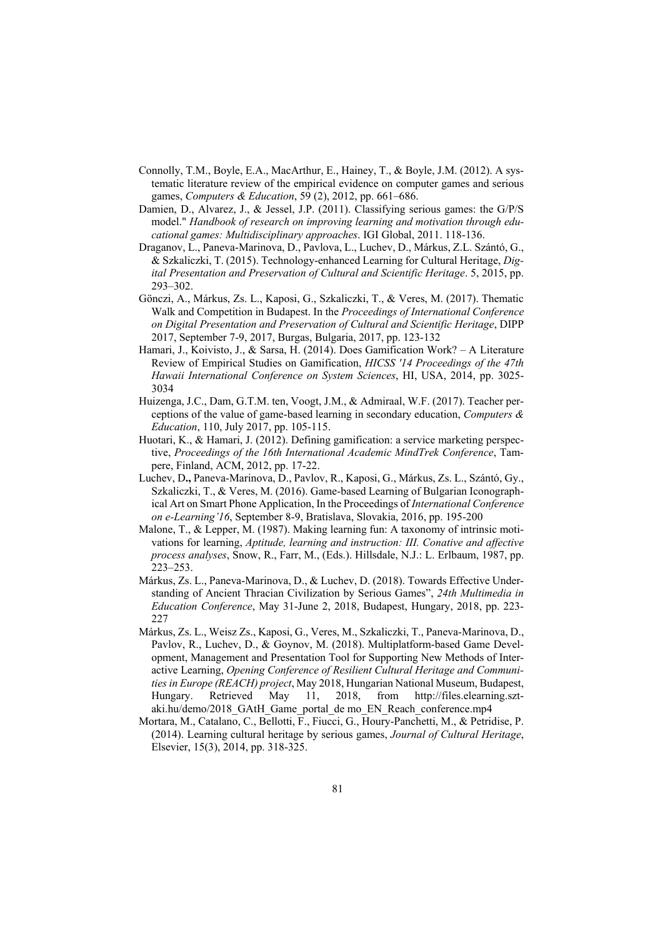- Connolly, T.M., Boyle, E.A., MacArthur, E., Hainey, T., & Boyle, J.M. (2012). A systematic literature review of the empirical evidence on computer games and serious games, *Computers & Education*, 59 (2), 2012, pp. 661–686.
- Damien, D., Alvarez, J., & Jessel, J.P. (2011). Classifying serious games: the G/P/S model." *Handbook of research on improving learning and motivation through educational games: Multidisciplinary approaches*. IGI Global, 2011. 118-136.
- Draganov, L., Paneva-Marinova, D., Pavlova, L., Luchev, D., Márkus, Z.L. Szántó, G., & Szkaliczki, T. (2015). Technology-enhanced Learning for Cultural Heritage, *Digital Presentation and Preservation of Cultural and Scientific Heritage*. 5, 2015, pp. 293–302.
- Gönczi, A., Márkus, Zs. L., Kaposi, G., Szkaliczki, T., & Veres, M. (2017). Thematic Walk and Competition in Budapest. In the *Proceedings of International Conference on Digital Presentation and Preservation of Cultural and Scientific Heritage*, DIPP 2017, September 7-9, 2017, Burgas, Bulgaria, 2017, pp. 123-132
- Hamari, J., Koivisto, J., & Sarsa, H. (2014). Does Gamification Work? A Literature Review of Empirical Studies on Gamification, *HICSS '14 Proceedings of the 47th Hawaii International Conference on System Sciences*, HI, USA, 2014, pp. 3025- 3034
- Huizenga, J.C., Dam, G.T.M. ten, Voogt, J.M., & Admiraal, W.F. (2017). Teacher perceptions of the value of game-based learning in secondary education, *Computers & Education*, 110, July 2017, pp. 105-115.
- Huotari, K., & Hamari, J. (2012). Defining gamification: a service marketing perspective, *Proceedings of the 16th International Academic MindTrek Conference*, Tampere, Finland, ACM, 2012, pp. 17-22.
- Luchev, D**.,** Paneva-Marinova, D., Pavlov, R., Kaposi, G., Márkus, Zs. L., Szántó, Gy., Szkaliczki, T., & Veres, M. (2016). Game-based Learning of Bulgarian Iconographical Art on Smart Phone Application, In the Proceedings of *International Conference on e-Learning'16*, September 8-9, Bratislava, Slovakia, 2016, pp. 195-200
- Malone, T., & Lepper, M. (1987). Making learning fun: A taxonomy of intrinsic motivations for learning, *Aptitude, learning and instruction: III. Conative and affective process analyses*, Snow, R., Farr, M., (Eds.). Hillsdale, N.J.: L. Erlbaum, 1987, pp. 223–253.
- Márkus, Zs. L., Paneva-Marinova, D., & Luchev, D. (2018). Towards Effective Understanding of Ancient Thracian Civilization by Serious Games", *24th Multimedia in Education Conference*, May 31-June 2, 2018, Budapest, Hungary, 2018, pp. 223- 227
- Márkus, Zs. L., Weisz Zs., Kaposi, G., Veres, M., Szkaliczki, T., Paneva-Marinova, D., Pavlov, R., Luchev, D., & Goynov, M. (2018). Multiplatform-based Game Development, Management and Presentation Tool for Supporting New Methods of Interactive Learning, *Opening Conference of Resilient Cultural Heritage and Communities in Europe (REACH) project*, May 2018, Hungarian National Museum, Budapest, Hungary. Retrieved May 11, 2018, from http://files.elearning.sztaki.hu/demo/2018\_GAtH\_Game\_portal\_de mo\_EN\_Reach\_conference.mp4
- Mortara, M., Catalano, C., Bellotti, F., Fiucci, G., Houry-Panchetti, M., & Petridise, P. (2014). Learning cultural heritage by serious games, *Journal of Cultural Heritage*, Elsevier, 15(3), 2014, pp. 318-325.